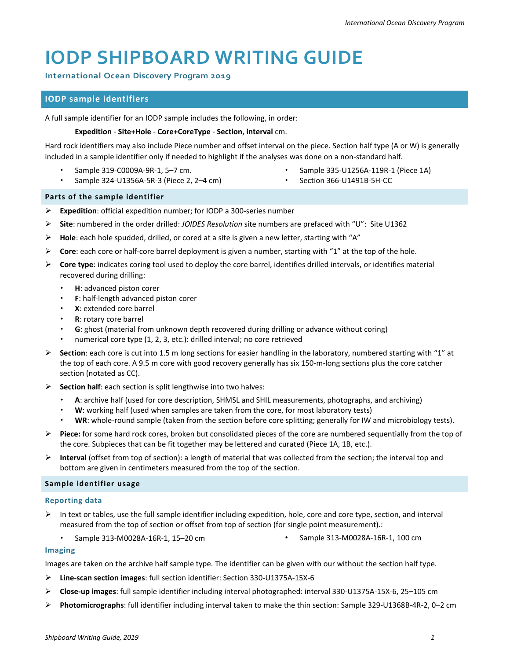# **[IODP SHIPBOARD WRITING](http://iodp.tamu.edu/publications/wiki/references/ODPREFS.pdf) [GUIDE](http://iodp.tamu.edu/publications/wiki/references/DSDPREFS.pdf)**

**International Ocean Discovery Program 2019**

# **IODP sample identifiers**

A full sample identifier for an IODP sample includes the following, in order:

#### **Expedition** - **Site+Hole** - **Core+CoreType** - **Section**, **interval** cm.

Hard rock identifiers may also include Piece number and offset interval on the piece. Section half type (A or W) is generally included in a sample identifier only if needed to highlight if the analyses was done on a non-standard half.

Sample 319-C0009A-9R-1, 5–7 cm.

- Sample 335-U1256A-119R-1 (Piece 1A)
- Sample 324-U1356A-5R-3 (Piece 2, 2–4 cm)
- Section 366-U1491B-5H-CC

## **Parts of the sample identifier**

- **Expedition**: official expedition number; for IODP a 300-series number
- **Site**: numbered in the order drilled: *JOIDES Resolution* site numbers are prefaced with "U": Site U1362
- **Hole**: each hole spudded, drilled, or cored at a site is given a new letter, starting with "A"
- **Core**: each core or half-core barrel deployment is given a number, starting with "1" at the top of the hole.
- **Core type**: indicates coring tool used to deploy the core barrel, identifies drilled intervals, or identifies material recovered during drilling:
	- **H**: advanced piston corer
	- **F**: half-length advanced piston corer
	- **X**: extended core barrel
	- **R**: rotary core barrel
	- **G**: ghost (material from unknown depth recovered during drilling or advance without coring)
	- numerical core type (1, 2, 3, etc.): drilled interval; no core retrieved
- **Section**: each core is cut into 1.5 m long sections for easier handling in the laboratory, numbered starting with "1" at the top of each core. A 9.5 m core with good recovery generally has six 150-m-long sections plus the core catcher section (notated as CC).
- **Section half**: each section is split lengthwise into two halves:
	- **A**: archive half (used for core description, SHMSL and SHIL measurements, photographs, and archiving)
	- **W**: working half (used when samples are taken from the core, for most laboratory tests)
	- **WR**: whole-round sample (taken from the section before core splitting; generally for IW and microbiology tests).
- **Piece:** for some hard rock cores, broken but consolidated pieces of the core are numbered sequentially from the top of the core. Subpieces that can be fit together may be lettered and curated (Piece 1A, 1B, etc.).
- **Interval** (offset from top of section): a length of material that was collected from the section; the interval top and bottom are given in centimeters measured from the top of the section.

# **Sample identifier usage**

#### **Reporting data**

- $\triangleright$  In text or tables, use the full sample identifier including expedition, hole, core and core type, section, and interval measured from the top of section or offset from top of section (for single point measurement).:
	- Sample 313-M0028A-16R-1, 15-20 cm  $\bullet$  Sample 313-M0028A-16R-1, 100 cm
- 

# **Imaging**

Images are taken on the archive half sample type. The identifier can be given with our without the section half type.

- **Line-scan section images**: full section identifier: Section 330-U1375A-15X-6
- **Close-up images**: full sample identifier including interval photographed: interval 330-U1375A-15X-6, 25–105 cm
- **Photomicrographs**: full identifier including interval taken to make the thin section: Sample 329-U1368B-4R-2, 0–2 cm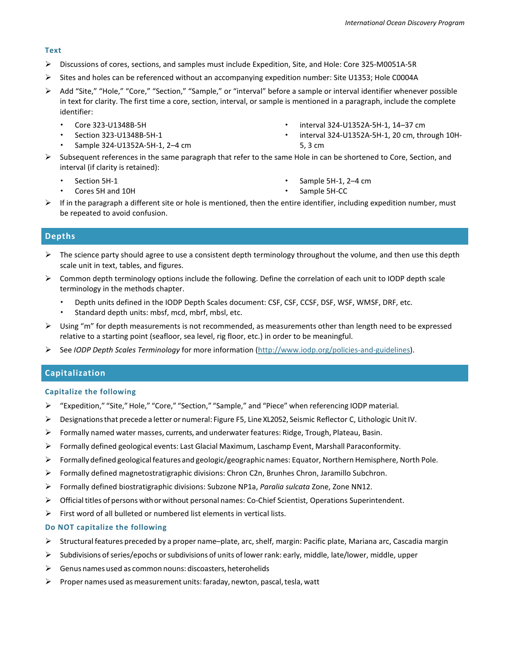#### **Text**

- Discussions of cores, sections, and samples must include Expedition, Site, and Hole: Core 325-M0051A-5R
- Sites and holes can be referenced without an accompanying expedition number: Site U1353; Hole C0004A
- Add "Site," "Hole," "Core," "Section," "Sample," or "interval" before a sample or interval identifier whenever possible in text for clarity. The first time a core, section, interval, or sample is mentioned in a paragraph, include the complete identifier:
	- Core 323-U1348B-5H
	- Section 323-U1348B-5H-1
	- Sample 324-U1352A-5H-1, 2–4 cm
- interval 324-U1352A-5H-1, 14–37 cm
- interval 324-U1352A-5H-1, 20 cm, through 10H-5, 3 cm
- $\triangleright$  Subsequent references in the same paragraph that refer to the same Hole in can be shortened to Core, Section, and interval (if clarity is retained):
	- Section 5H-1
	- Cores 5H and 10H
- Sample 5H-1, 2–4 cm
	- Sample 5H-CC
- $\triangleright$  If in the paragraph a different site or hole is mentioned, then the entire identifier, including expedition number, must be repeated to avoid confusion.

# **Depths**

- $\triangleright$  The science party should agree to use a consistent depth terminology throughout the volume, and then use this depth scale unit in text, tables, and figures.
- $\triangleright$  Common depth terminology options include the following. Define the correlation of each unit to IODP depth scale terminology in the methods chapter.
	- Depth units defined in the IODP Depth Scales document: CSF, CSF, CCSF, DSF, WSF, WMSF, DRF, etc.
	- Standard depth units: mbsf, mcd, mbrf, mbsl, etc.
- $\triangleright$  Using "m" for depth measurements is not recommended, as measurements other than length need to be expressed relative to a starting point (seafloor, sea level, rig floor, etc.) in order to be meaningful.
- See *IODP Depth Scales Terminology* for more information [\(http://www.iodp.org/policies-and-guidelines\)](http://www.iodp.org/policies-and-guidelines).

# **Capitalization**

#### **Capitalize the following**

- > "Expedition," "Site," Hole," "Core," "Section," "Sample," and "Piece" when referencing IODP material.
- Designationsthat precede a letter or numeral: Figure F5, Line XL2052, Seismic Reflector C, Lithologic UnitIV.
- $\triangleright$  Formally named water masses, currents, and underwater features: Ridge, Trough, Plateau, Basin.
- $\triangleright$  Formally defined geological events: Last Glacial Maximum, Laschamp Event, Marshall Paraconformity.
- Formally defined geological features and geologic/geographic names: Equator, Northern Hemisphere, North Pole.
- $\triangleright$  Formally defined magnetostratigraphic divisions: Chron C2n, Brunhes Chron, Jaramillo Subchron.
- Formally defined biostratigraphic divisions: Subzone NP1a, *Paralia sulcata* Zone, Zone NN12.
- $\triangleright$  Official titles of persons with or without personal names: Co-Chief Scientist, Operations Superintendent.
- $\triangleright$  First word of all bulleted or numbered list elements in vertical lists.

# **Do NOT capitalize the following**

- $\triangleright$  Structural features preceded by a proper name–plate, arc, shelf, margin: Pacific plate, Mariana arc, Cascadia margin
- $\triangleright$  Subdivisions of series/epochs or subdivisions of units of lower rank: early, middle, late/lower, middle, upper
- $\triangleright$  Genus names used as common nouns: discoasters, heterohelids
- $\triangleright$  Proper names used as measurement units: faraday, newton, pascal, tesla, watt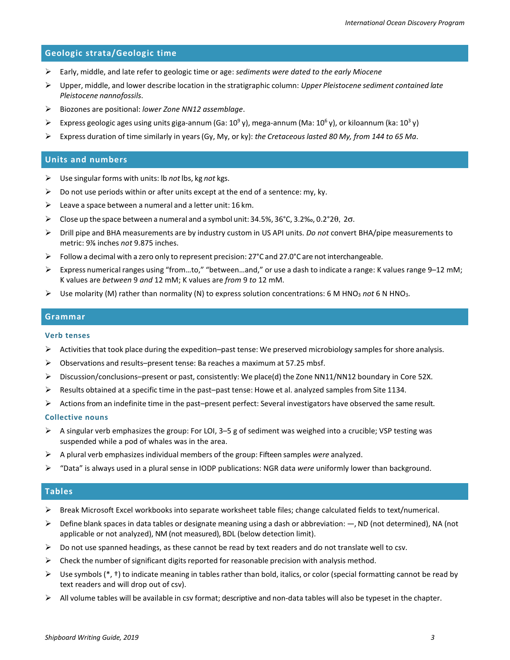## **Geologic strata/Geologic time**

- Early, middle, and late refer to geologic time or age: *sediments were dated to the early Miocene*
- Upper, middle, and lower describe location in the stratigraphic column: *Upper Pleistocene sediment contained late Pleistocene nannofossils*.
- Biozones are positional: *lower Zone NN12 assemblage*.
- Express geologic ages using units giga-annum (Ga:  $10^9$  y), mega-annum (Ma:  $10^6$  y), or kiloannum (ka:  $10^3$  y)
- Express duration of time similarly in years(Gy, My, or ky): *the Cretaceous lasted 80 My, from 144 to 65 Ma*.

#### **Units and numbers**

- Use singular forms with units: lb *not* lbs, kg *not* kgs.
- $\triangleright$  Do not use periods within or after units except at the end of a sentence: my, ky.
- E Leave a space between a numeral and a letter unit: 16 km.
- Close up the space between a numeral and a symbol unit: 34.5%, 36°C, 3.2‰, 0.2°2θ, 2σ.
- Drill pipe and BHA measurements are by industry custom in US API units. *Do not* convert BHA/pipe measurements to metric: 9⅞ inches *not* 9.875 inches.
- $\triangleright$  Follow a decimal with a zero only to represent precision: 27°C and 27.0°C are not interchangeable.
- Express numerical ranges using "from…to," "between…and," or use a dash to indicate a range: K values range 9–12 mM; K values are *between* 9 *and* 12 mM; K values are *from* 9 *to* 12 mM.
- Use molarity (M) rather than normality (N) to express solution concentrations: 6 M HNO3 *not* 6 N HNO3.

#### **Grammar**

#### **Verb tenses**

- $\triangleright$  Activities that took place during the expedition–past tense: We preserved microbiology samples for shore analysis.
- $\triangleright$  Observations and results–present tense: Ba reaches a maximum at 57.25 mbsf.
- $\triangleright$  Discussion/conclusions–present or past, consistently: We place(d) the Zone NN11/NN12 boundary in Core 52X.
- $\triangleright$  Results obtained at a specific time in the past–past tense: Howe et al. analyzed samples from Site 1134.
- $\triangleright$  Actions from an indefinite time in the past–present perfect: Several investigators have observed the same result.

#### **Collective nouns**

- $\triangleright$  A singular verb emphasizes the group: For LOI, 3–5 g of sediment was weighed into a crucible; VSP testing was suspended while a pod of whales was in the area.
- A plural verb emphasizesindividual members of the group: Fifteen samples *were* analyzed.
- "Data" is always used in a plural sense in IODP publications: NGR data *were* uniformly lower than background.

## **Tables**

- $\triangleright$  Break Microsoft Excel workbooks into separate worksheet table files; change calculated fields to text/numerical.
- $\triangleright$  Define blank spaces in data tables or designate meaning using a dash or abbreviation:  $-$ , ND (not determined), NA (not applicable or not analyzed), NM (not measured), BDL (below detection limit).
- $\triangleright$  Do not use spanned headings, as these cannot be read by text readers and do not translate well to csv.
- $\triangleright$  Check the number of significant digits reported for reasonable precision with analysis method.
- $\triangleright$  Use symbols (\*, †) to indicate meaning in tables rather than bold, italics, or color (special formatting cannot be read by text readers and will drop out of csv).
- $\triangleright$  All volume tables will be available in csv format; descriptive and non-data tables will also be typeset in the chapter.